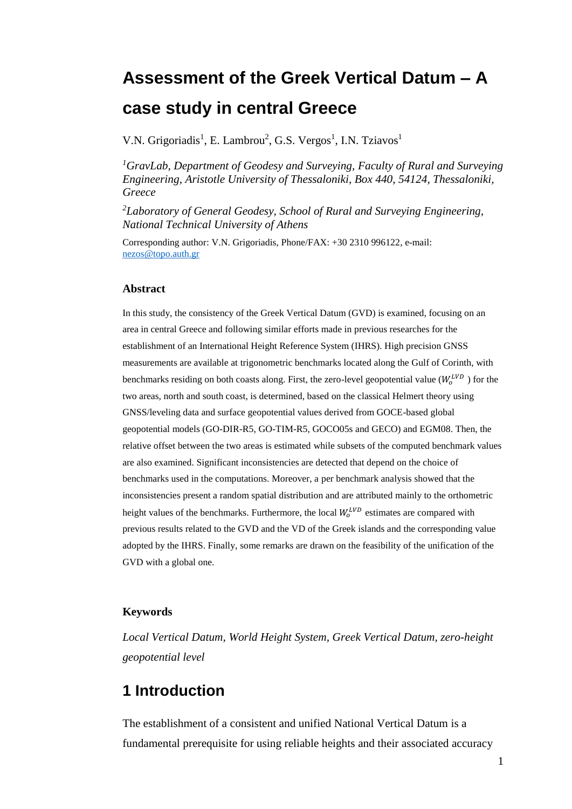# **Assessment of the Greek Vertical Datum – A case study in central Greece**

V.N. Grigoriadis<sup>1</sup>, E. Lambrou<sup>2</sup>, G.S. Vergos<sup>1</sup>, I.N. Tziavos<sup>1</sup>

*<sup>1</sup>GravLab, Department of Geodesy and Surveying, Faculty of Rural and Surveying Engineering, Aristotle University of Thessaloniki, Box 440, 54124, Thessaloniki, Greece*

*<sup>2</sup>Laboratory of General Geodesy, School of Rural and Surveying Engineering, National Technical University of Athens*

Corresponding author: V.N. Grigoriadis, Phone/FAX: +30 2310 996122, e-mail: [nezos@topo.auth.gr](mailto:nezos@topo.auth.gr)

#### **Abstract**

In this study, the consistency of the Greek Vertical Datum (GVD) is examined, focusing on an area in central Greece and following similar efforts made in previous researches for the establishment of an International Height Reference System (IHRS). High precision GNSS measurements are available at trigonometric benchmarks located along the Gulf of Corinth, with benchmarks residing on both coasts along. First, the zero-level geopotential value ( $W_o^{LVD}$ ) for the two areas, north and south coast, is determined, based on the classical Helmert theory using GNSS/leveling data and surface geopotential values derived from GOCE-based global geopotential models (GO-DIR-R5, GO-TIM-R5, GOCO05s and GECO) and EGM08. Then, the relative offset between the two areas is estimated while subsets of the computed benchmark values are also examined. Significant inconsistencies are detected that depend on the choice of benchmarks used in the computations. Moreover, a per benchmark analysis showed that the inconsistencies present a random spatial distribution and are attributed mainly to the orthometric height values of the benchmarks. Furthermore, the local  $W_o^{LVD}$  estimates are compared with previous results related to the GVD and the VD of the Greek islands and the corresponding value adopted by the IHRS. Finally, some remarks are drawn on the feasibility of the unification of the GVD with a global one.

#### **Keywords**

*Local Vertical Datum, World Height System, Greek Vertical Datum, zero-height geopotential level*

## **1 Introduction**

The establishment of a consistent and unified National Vertical Datum is a fundamental prerequisite for using reliable heights and their associated accuracy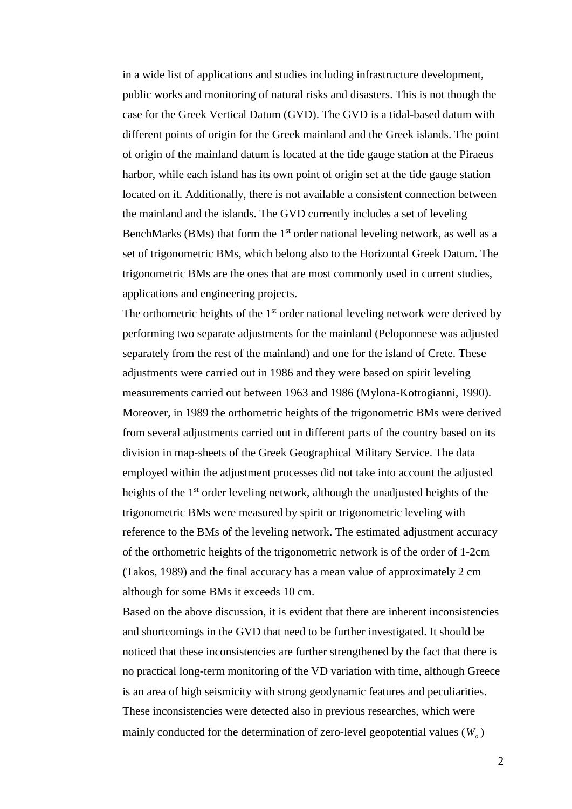in a wide list of applications and studies including infrastructure development, public works and monitoring of natural risks and disasters. This is not though the case for the Greek Vertical Datum (GVD). The GVD is a tidal-based datum with different points of origin for the Greek mainland and the Greek islands. The point of origin of the mainland datum is located at the tide gauge station at the Piraeus harbor, while each island has its own point of origin set at the tide gauge station located on it. Additionally, there is not available a consistent connection between the mainland and the islands. The GVD currently includes a set of leveling BenchMarks (BMs) that form the  $1<sup>st</sup>$  order national leveling network, as well as a set of trigonometric BMs, which belong also to the Horizontal Greek Datum. The trigonometric BMs are the ones that are most commonly used in current studies, applications and engineering projects.

The orthometric heights of the  $1<sup>st</sup>$  order national leveling network were derived by performing two separate adjustments for the mainland (Peloponnese was adjusted separately from the rest of the mainland) and one for the island of Crete. These adjustments were carried out in 1986 and they were based on spirit leveling measurements carried out between 1963 and 1986 (Mylona-Kotrogianni, 1990). Moreover, in 1989 the orthometric heights of the trigonometric BMs were derived from several adjustments carried out in different parts of the country based on its division in map-sheets of the Greek Geographical Military Service. The data employed within the adjustment processes did not take into account the adjusted heights of the 1<sup>st</sup> order leveling network, although the unadjusted heights of the trigonometric BMs were measured by spirit or trigonometric leveling with reference to the BMs of the leveling network. The estimated adjustment accuracy of the orthometric heights of the trigonometric network is of the order of 1-2cm (Takos, 1989) and the final accuracy has a mean value of approximately 2 cm although for some BMs it exceeds 10 cm.

Based on the above discussion, it is evident that there are inherent inconsistencies and shortcomings in the GVD that need to be further investigated. It should be noticed that these inconsistencies are further strengthened by the fact that there is no practical long-term monitoring of the VD variation with time, although Greece is an area of high seismicity with strong geodynamic features and peculiarities. These inconsistencies were detected also in previous researches, which were mainly conducted for the determination of zero-level geopotential values  $(W_a)$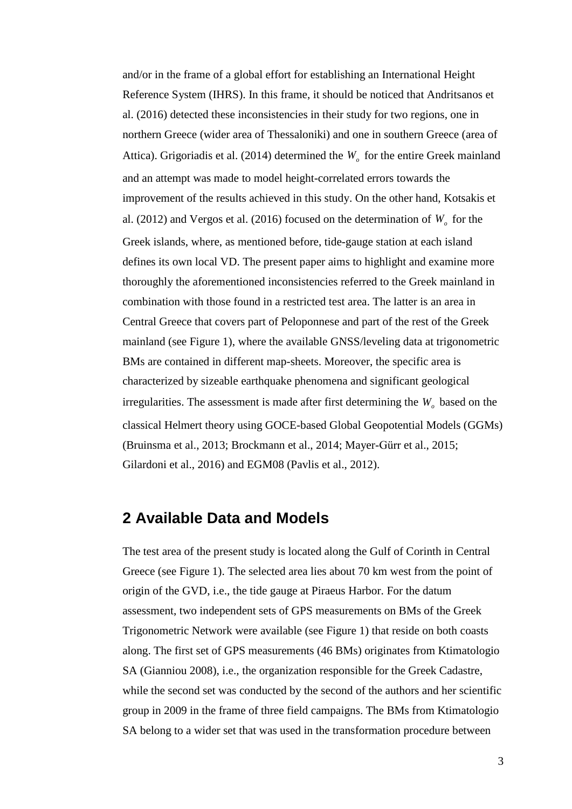and/or in the frame of a global effort for establishing an International Height Reference System (IHRS). In this frame, it should be noticed that Andritsanos et al. (2016) detected these inconsistencies in their study for two regions, one in northern Greece (wider area of Thessaloniki) and one in southern Greece (area of Attica). Grigoriadis et al.  $(2014)$  determined the  $W<sub>o</sub>$  for the entire Greek mainland and an attempt was made to model height-correlated errors towards the improvement of the results achieved in this study. On the other hand, Kotsakis et al. (2012) and Vergos et al. (2016) focused on the determination of  $W<sub>o</sub>$  for the Greek islands, where, as mentioned before, tide-gauge station at each island defines its own local VD. The present paper aims to highlight and examine more thoroughly the aforementioned inconsistencies referred to the Greek mainland in combination with those found in a restricted test area. The latter is an area in Central Greece that covers part of Peloponnese and part of the rest of the Greek mainland (see Figure 1), where the available GNSS/leveling data at trigonometric BMs are contained in different map-sheets. Moreover, the specific area is characterized by sizeable earthquake phenomena and significant geological irregularities. The assessment is made after first determining the *W<sup>o</sup>* based on the classical Helmert theory using GOCE-based Global Geopotential Models (GGMs) (Bruinsma et al., 2013; Brockmann et al., 2014; Mayer-Gürr et al., 2015; Gilardoni et al., 2016) and EGM08 (Pavlis et al., 2012).

#### **2 Available Data and Models**

The test area of the present study is located along the Gulf of Corinth in Central Greece (see Figure 1). The selected area lies about 70 km west from the point of origin of the GVD, i.e., the tide gauge at Piraeus Harbor. For the datum assessment, two independent sets of GPS measurements on BMs of the Greek Trigonometric Network were available (see Figure 1) that reside on both coasts along. The first set of GPS measurements (46 BMs) originates from Ktimatologio SA (Gianniou 2008), i.e., the organization responsible for the Greek Cadastre, while the second set was conducted by the second of the authors and her scientific group in 2009 in the frame of three field campaigns. The BMs from Ktimatologio SA belong to a wider set that was used in the transformation procedure between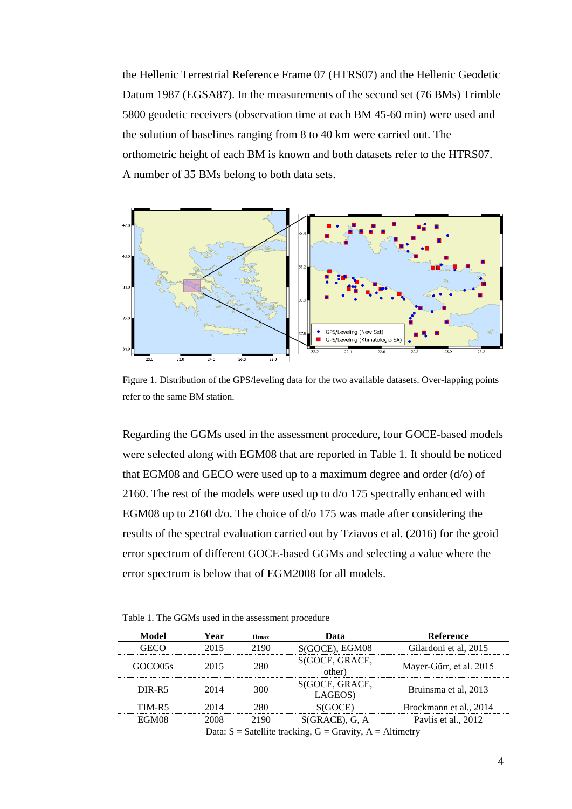the Hellenic Terrestrial Reference Frame 07 (HTRS07) and the Hellenic Geodetic Datum 1987 (EGSA87). In the measurements of the second set (76 BMs) Trimble 5800 geodetic receivers (observation time at each BM 45-60 min) were used and the solution of baselines ranging from 8 to 40 km were carried out. The orthometric height of each BM is known and both datasets refer to the HTRS07. A number of 35 BMs belong to both data sets.



Figure 1. Distribution of the GPS/leveling data for the two available datasets. Over-lapping points refer to the same ΒΜ station.

Regarding the GGMs used in the assessment procedure, four GOCE-based models were selected along with EGM08 that are reported in Table 1. It should be noticed that EGM08 and GECO were used up to a maximum degree and order  $(d/\sigma)$  of 2160. The rest of the models were used up to d/o 175 spectrally enhanced with EGM08 up to 2160 d/o. The choice of d/o 175 was made after considering the results of the spectral evaluation carried out by Tziavos et al. (2016) for the geoid error spectrum of different GOCE-based GGMs and selecting a value where the error spectrum is below that of EGM2008 for all models.

Table 1. The GGMs used in the assessment procedure

| Model                                                          | Year | $n_{\rm max}$ | Data                      | <b>Reference</b>        |  |  |  |  |
|----------------------------------------------------------------|------|---------------|---------------------------|-------------------------|--|--|--|--|
|                                                                | 2015 | 2190          | S(GOCE), EGM08            | Gilardoni et al, 2015   |  |  |  |  |
| GOCO05s                                                        | 2015 | 280           | S(GOCE, GRACE,<br>other)  | Mayer-Gürr, et al. 2015 |  |  |  |  |
| DIR-R5                                                         | 2014 | 300           | S(GOCE, GRACE,<br>LAGEOS) | Bruinsma et al, 2013    |  |  |  |  |
| TIM-R5                                                         |      | ושי           |                           | Brockmann et al., 2014  |  |  |  |  |
| EGM08                                                          | 2008 | 2190          | $S(GRACE)$ , G, A         | Paylis et al., 2012     |  |  |  |  |
| Data: $S =$ Satellite tracking, $G =$ Gravity, $A =$ Altimetry |      |               |                           |                         |  |  |  |  |

4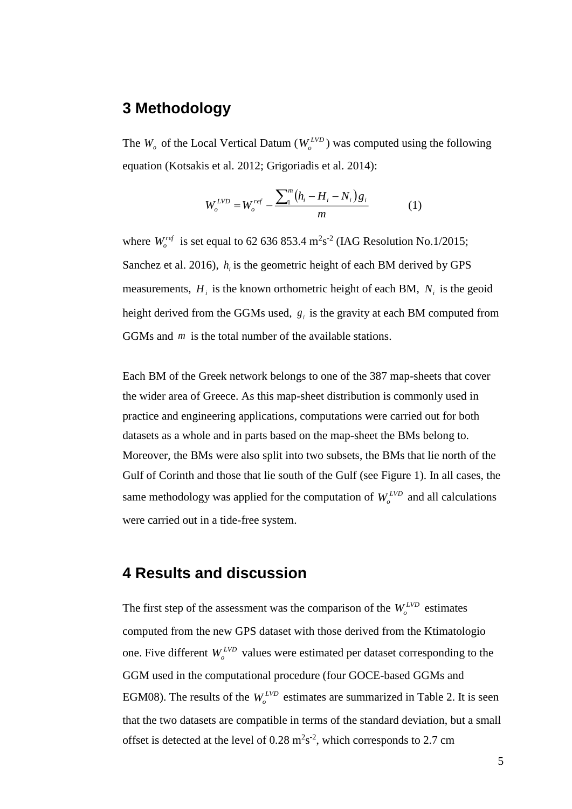## **3 Methodology**

The  $W$ <sup>*o*</sup> of the Local Vertical Datum ( $W$ <sup>*LVD*</sup>)</sub> was computed using the following equation (Kotsakis et al. 2012; Grigoriadis et al. 2014):

$$
W_o^{LVD} = W_o^{ref} - \frac{\sum_{i=1}^{m} (h_i - H_i - N_i) g_i}{m}
$$
 (1)

where  $W_c^{ref}$  is set equal to 62 636 853.4 m<sup>2</sup>s<sup>-2</sup> (IAG Resolution No.1/2015; Sanchez et al. 2016),  $h_i$  is the geometric height of each BM derived by GPS measurements,  $H_i$  is the known orthometric height of each BM,  $N_i$  is the geoid height derived from the GGMs used,  $g_i$  is the gravity at each BM computed from GGMs and *m* is the total number of the available stations.

Each BM of the Greek network belongs to one of the 387 map-sheets that cover the wider area of Greece. As this map-sheet distribution is commonly used in practice and engineering applications, computations were carried out for both datasets as a whole and in parts based on the map-sheet the BMs belong to. Moreover, the BMs were also split into two subsets, the BMs that lie north of the Gulf of Corinth and those that lie south of the Gulf (see Figure 1). In all cases, the same methodology was applied for the computation of  $W_o^{LVD}$  and all calculations were carried out in a tide-free system.

## **4 Results and discussion**

The first step of the assessment was the comparison of the  $W_o^{LVD}$  estimates computed from the new GPS dataset with those derived from the Ktimatologio one. Five different  $W_o^{LVD}$  values were estimated per dataset corresponding to the GGM used in the computational procedure (four GOCE-based GGMs and EGM08). The results of the  $W_o^{LVD}$  estimates are summarized in Table 2. It is seen that the two datasets are compatible in terms of the standard deviation, but a small offset is detected at the level of  $0.28 \text{ m}^2\text{s}^{-2}$ , which corresponds to 2.7 cm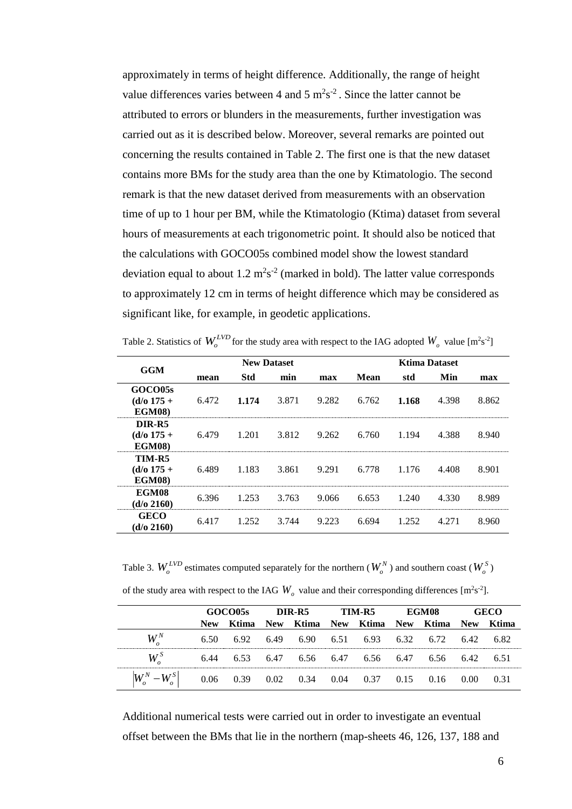approximately in terms of height difference. Additionally, the range of height value differences varies between 4 and 5  $\text{m}^2\text{s}^{-2}$ . Since the latter cannot be attributed to errors or blunders in the measurements, further investigation was carried out as it is described below. Moreover, several remarks are pointed out concerning the results contained in Table 2. The first one is that the new dataset contains more BMs for the study area than the one by Ktimatologio. The second remark is that the new dataset derived from measurements with an observation time of up to 1 hour per BM, while the Ktimatologio (Ktima) dataset from several hours of measurements at each trigonometric point. It should also be noticed that the calculations with GOCO05s combined model show the lowest standard deviation equal to about  $1.2 \text{ m}^2\text{s}^{-2}$  (marked in bold). The latter value corresponds to approximately 12 cm in terms of height difference which may be considered as significant like, for example, in geodetic applications.

Table 2. Statistics of  $W_o^{LVD}$  for the study area with respect to the IAG adopted  $W_o$  value  $[m^2s^2]$ 

|                                                 |       | <b>New Dataset</b> |       |       | <b>Ktima Dataset</b> |       |       |       |  |
|-------------------------------------------------|-------|--------------------|-------|-------|----------------------|-------|-------|-------|--|
| <b>GGM</b>                                      | mean  | <b>Std</b>         | min   | max   | <b>Mean</b>          | std   | Min   | max   |  |
| GOCO05s<br>$(d/\sigma)$ 175 +<br><b>EGM08</b> ) | 6.472 | 1.174              | 3.871 | 9.282 | 6.762                | 1.168 | 4.398 | 8.862 |  |
| DIR-R5<br>$(d/\sigma)$ 175 +<br><b>EGM08</b> )  | 6.479 | 1.201              | 3.812 | 9.262 | 6.760                | 1.194 | 4.388 | 8.940 |  |
| TIM-R5<br>$(d/\sigma)$ 175 +<br><b>EGM08</b> )  | 6.489 | 1.183              | 3.861 | 9.291 | 6.778                | 1.176 | 4.408 | 8.901 |  |
| EGM08<br>$(d/\sigma 2160)$                      | 6.396 | 1.253              | 3.763 | 9.066 | 6.653                | 1.240 | 4.330 | 8.989 |  |
| <b>GECO</b><br>$(d/\sigma 2160)$                | 6.417 | 1.252              | 3.744 | 9.223 | 6.694                | 1.252 | 4.271 | 8.960 |  |

Table 3.  $W_o^{LVD}$  estimates computed separately for the northern  $(W_o^N)$  and southern coast  $(W_o^S)$ 

| of the study area with respect to the IAG $W_o$ value and their corresponding differences [m <sup>2</sup> s <sup>-2</sup> ]. |  |  |  |
|------------------------------------------------------------------------------------------------------------------------------|--|--|--|
|------------------------------------------------------------------------------------------------------------------------------|--|--|--|

|                                                                                | GOCO05s    |                                                   | DIR-R5 TIM-R5 |  |  |                               | EGM08 |  | GECO       |         |
|--------------------------------------------------------------------------------|------------|---------------------------------------------------|---------------|--|--|-------------------------------|-------|--|------------|---------|
|                                                                                | <b>New</b> | Ktima                                             |               |  |  | New Ktima New Ktima New Ktima |       |  | <b>New</b> | - Ktima |
| $W^N$                                                                          |            | 6.50 6.92 6.49 6.90 6.51 6.93 6.32 6.72 6.42 6.82 |               |  |  |                               |       |  |            |         |
| $W^S$                                                                          |            | 6.44 6.53 6.47 6.56 6.47 6.56 6.47 6.56 6.42      |               |  |  |                               |       |  |            | 651     |
| $\left W_a^N - W_a^S\right $ 0.06 0.39 0.02 0.34 0.04 0.37 0.15 0.16 0.00 0.31 |            |                                                   |               |  |  |                               |       |  |            |         |

Additional numerical tests were carried out in order to investigate an eventual offset between the BMs that lie in the northern (map-sheets 46, 126, 137, 188 and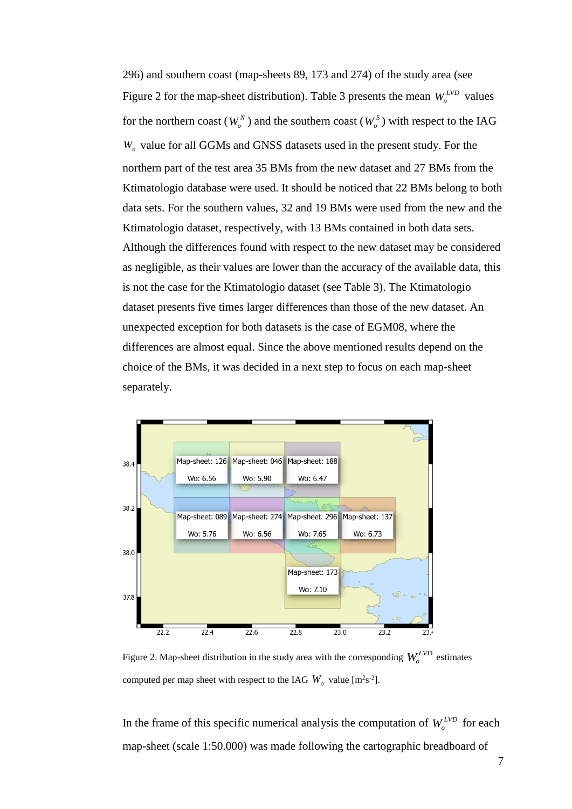296) and southern coast (map-sheets 89, 173 and 274) of the study area (see Figure 2 for the map-sheet distribution). Table 3 presents the mean  $W_o^{LVD}$  values for the northern coast ( $W_o^N$ ) and the southern coast ( $W_o^S$ ) with respect to the IAG *W<sup>o</sup>* value for all GGMs and GNSS datasets used in the present study. For the northern part of the test area 35 BMs from the new dataset and 27 BMs from the Ktimatologio database were used. It should be noticed that 22 BMs belong to both data sets. For the southern values, 32 and 19 BMs were used from the new and the Ktimatologio dataset, respectively, with 13 BMs contained in both data sets. Although the differences found with respect to the new dataset may be considered as negligible, as their values are lower than the accuracy of the available data, this is not the case for the Ktimatologio dataset (see Table 3). The Ktimatologio dataset presents five times larger differences than those of the new dataset. An unexpected exception for both datasets is the case of EGM08, where the differences are almost equal. Since the above mentioned results depend on the choice of the BMs, it was decided in a next step to focus on each map-sheet separately.



Figure 2. Map-sheet distribution in the study area with the corresponding  $W_o^{LVD}$  estimates computed per map sheet with respect to the IAG  $W_o$  value [m<sup>2</sup>s<sup>-2</sup>].

In the frame of this specific numerical analysis the computation of  $W_o^{LVD}$  for each map-sheet (scale 1:50.000) was made following the cartographic breadboard of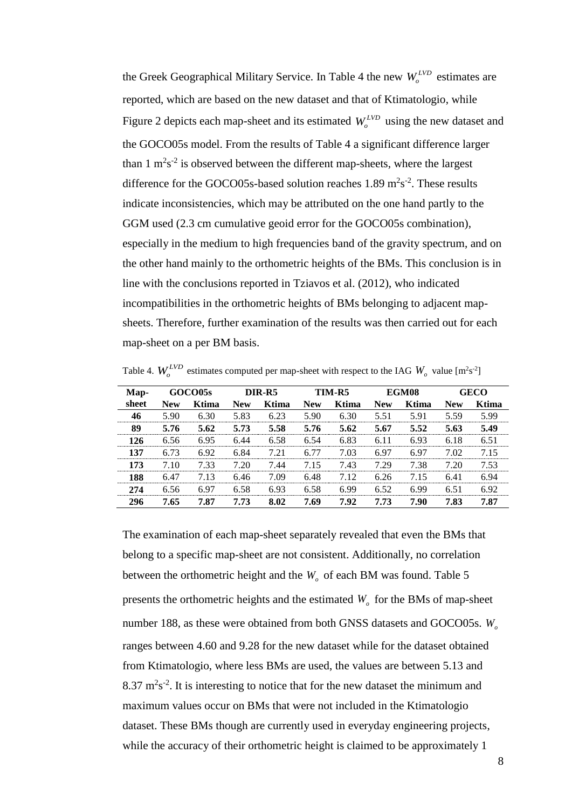the Greek Geographical Military Service. In Table 4 the new  $W_o^{LVD}$  estimates are reported, which are based on the new dataset and that of Ktimatologio, while Figure 2 depicts each map-sheet and its estimated  $W_o^{LVD}$  using the new dataset and the GOCO05s model. From the results of Table 4 a significant difference larger than  $1 \text{ m}^2 \text{s}^{-2}$  is observed between the different map-sheets, where the largest difference for the GOCO05s-based solution reaches  $1.89 \text{ m}^2\text{s}^{-2}$ . These results indicate inconsistencies, which may be attributed on the one hand partly to the GGM used (2.3 cm cumulative geoid error for the GOCO05s combination), especially in the medium to high frequencies band of the gravity spectrum, and on the other hand mainly to the orthometric heights of the BMs. This conclusion is in line with the conclusions reported in Tziavos et al. (2012), who indicated incompatibilities in the orthometric heights of BMs belonging to adjacent mapsheets. Therefore, further examination of the results was then carried out for each map-sheet on a per BM basis.

| Table 4. $W_o^{LVD}$ estimates computed per map-sheet with respect to the IAG $W_o$ value [m <sup>2</sup> s <sup>-2</sup> ] |  |
|-----------------------------------------------------------------------------------------------------------------------------|--|
|                                                                                                                             |  |

| Map-  |            | GOCO05s | DIR-R5     |       |            | TIM-R5 |            | EGM08 | GECO       |       |
|-------|------------|---------|------------|-------|------------|--------|------------|-------|------------|-------|
| sheet | <b>New</b> | Ktima   | <b>New</b> | Ktima | <b>New</b> | Ktima  | <b>New</b> | Ktima | <b>New</b> | Ktima |
| 46    | 5.90       | 6.30    | 5.83       | 6.23  | 5.90       | 6.30   | 5.51       | 5.91  | 5.59       | 5.99  |
| 89    | 5.76       | 5.62    | 5.73       | 5.58  | 5.76       | 5.62   | 5.67       | 5.52  | 5.63       | 5.49  |
| 126   | 6.56       | 6.95    | 6.44       | 6.58  | 6.54       | 6.83   | 6.11       | 6.93  | 6.18       | 6.51  |
| 137   | 6.73       | 6.92    | 6.84       | 721   | 6.77       | 7.03   | 697        | 697   | 7.02       | 715   |
| 173   | 710        | 7.33    | 7.20       | 7.44  | 715        | 7.43   | 7.29       | 7.38  | 7 20       | 7 53  |
| 188   | 6.47       | 7.13    | 6.46       | 7.09  | 6.48       | 7.12   | 6.26       | 7.15  | 6.41       | 6.94  |
| 274   | 6.56       | 6.97    | 6.58       | 6.93  | 6.58       | 6.99   | 6.52       | 6.99  | 6.51       | 6.92  |
| 296   | 7.65       | 7.87    | 7.73       | 8.02  | 7.69       | 7.92   | 7.73       | 7.90  | 7.83       | 7.87  |

The examination of each map-sheet separately revealed that even the BMs that belong to a specific map-sheet are not consistent. Additionally, no correlation between the orthometric height and the  $W<sub>o</sub>$  of each BM was found. Table 5 presents the orthometric heights and the estimated  $W$ <sup> $\sigma$ </sup> for the BMs of map-sheet number 188, as these were obtained from both GNSS datasets and GOCO05s. *W<sup>o</sup>* ranges between 4.60 and 9.28 for the new dataset while for the dataset obtained from Ktimatologio, where less BMs are used, the values are between 5.13 and  $8.37 \text{ m}^2\text{s}^{-2}$ . It is interesting to notice that for the new dataset the minimum and maximum values occur on BMs that were not included in the Ktimatologio dataset. These BMs though are currently used in everyday engineering projects, while the accuracy of their orthometric height is claimed to be approximately 1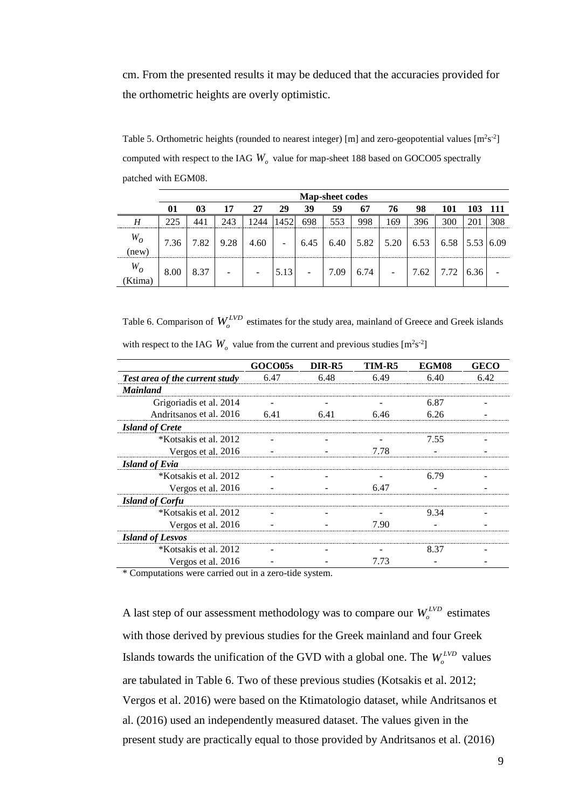cm. From the presented results it may be deduced that the accuracies provided for the orthometric heights are overly optimistic.

Table 5. Orthometric heights (rounded to nearest integer) [m] and zero-geopotential values  $[m^2s^2]$ computed with respect to the IAG *W<sup>o</sup>* value for map-sheet 188 based on GOCO05 spectrally patched with EGM08.

|                  | <b>Map-sheet codes</b> |      |      |      |      |                          |      |      |                          |      |                             |      |  |
|------------------|------------------------|------|------|------|------|--------------------------|------|------|--------------------------|------|-----------------------------|------|--|
|                  | 01                     | 03   | 17   | 27   | 29   | 39                       | 59   | 67   | 76                       | 98   | 101                         |      |  |
| H                | 225                    | 441  | 243  |      | 1452 | 698                      | 553  | 998  | .69                      | 396  | 300                         | 20   |  |
| $W_O$<br>(new)   | 7.36                   | 7.82 | 9.28 | 4.60 | -    | 6.45                     |      |      | $6.40$   5.82   5.20     |      | $6.53$   6.58   5.53   6.09 |      |  |
| $W_O$<br>(Ktima) | 8.00                   | 8.37 | ۰    |      | 5.13 | $\overline{\phantom{0}}$ | 7.09 | 6.74 | $\overline{\phantom{a}}$ | 7.62 | 7.72                        | 6.36 |  |

Table 6. Comparison of  $W_o^{LVD}$  estimates for the study area, mainland of Greece and Greek islands with respect to the IAG  $W_0$  value from the current and previous studies  $[m^2s^2]$ 

|                                | GOCO05s                          | DIR-R5 | TIM-R5 | EGM08 | <b>GECO</b> |
|--------------------------------|----------------------------------|--------|--------|-------|-------------|
| Test area of the current study | 6.47                             | 6.48   | 6.49   | 6.40  | 6.42        |
| <b>Mainland</b>                |                                  |        |        |       |             |
| Grigoriadis et al. 2014        |                                  |        |        | 6.87  |             |
| Andritsanos et al. 2016        | 6.41                             | 6.41   | 6.46   | 6.26  |             |
| <b>Island of Crete</b>         |                                  |        |        |       |             |
| *Kotsakis et al. 2012          |                                  |        |        | 7.55  |             |
| Vergos et al. 2016             |                                  |        | 7.78   |       |             |
| <b>Island of Evia</b>          |                                  |        |        |       |             |
| *Kotsakis et al. 2012          |                                  |        |        | 6.79  |             |
| Vergos et al. 2016             |                                  |        | 6.47   |       |             |
| <b>Island of Corfu</b>         |                                  |        |        |       |             |
| *Kotsakis et al. 2012          |                                  |        |        | 9.34  |             |
| Vergos et al. 2016             |                                  |        | 7.90   |       |             |
| <b>Island of Lesvos</b>        |                                  |        |        |       |             |
| *Kotsakis et al. 2012          |                                  |        |        | 8.37  |             |
| Vergos et al. 2016             |                                  |        | 7.73   |       |             |
| $\sim$ $\sim$<br>$\sim$ $\sim$ | $\sim$ $\sim$<br>$\cdot$ $\cdot$ |        |        |       |             |

\* Computations were carried out in a zero-tide system.

A last step of our assessment methodology was to compare our  $W_o^{LVD}$  estimates with those derived by previous studies for the Greek mainland and four Greek Islands towards the unification of the GVD with a global one. The  $W_o^{LVD}$  values are tabulated in Table 6. Two of these previous studies (Kotsakis et al. 2012; Vergos et al. 2016) were based on the Ktimatologio dataset, while Andritsanos et al. (2016) used an independently measured dataset. The values given in the present study are practically equal to those provided by Andritsanos et al. (2016)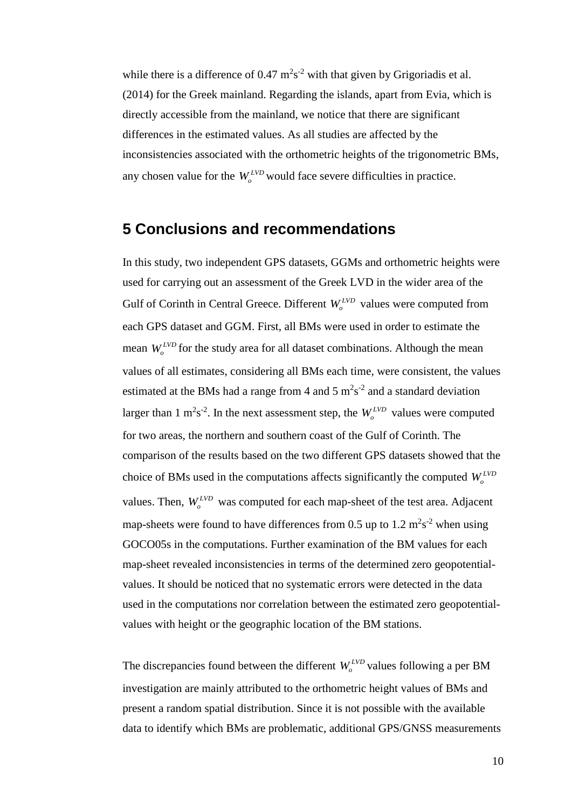while there is a difference of  $0.47 \text{ m}^2\text{s}^{-2}$  with that given by Grigoriadis et al. (2014) for the Greek mainland. Regarding the islands, apart from Evia, which is directly accessible from the mainland, we notice that there are significant differences in the estimated values. As all studies are affected by the inconsistencies associated with the orthometric heights of the trigonometric BMs, any chosen value for the  $W_o^{LVD}$  would face severe difficulties in practice.

### **5 Conclusions and recommendations**

In this study, two independent GPS datasets, GGMs and orthometric heights were used for carrying out an assessment of the Greek LVD in the wider area of the Gulf of Corinth in Central Greece. Different  $W_o^{LVD}$  values were computed from each GPS dataset and GGM. First, all BMs were used in order to estimate the mean  $W_o^{LVD}$  for the study area for all dataset combinations. Although the mean values of all estimates, considering all BMs each time, were consistent, the values estimated at the BMs had a range from 4 and 5  $m^2s^2$  and a standard deviation larger than 1 m<sup>2</sup>s<sup>-2</sup>. In the next assessment step, the  $W_o^{LVD}$  values were computed for two areas, the northern and southern coast of the Gulf of Corinth. The comparison of the results based on the two different GPS datasets showed that the choice of BMs used in the computations affects significantly the computed  $W_o^{LVD}$ values. Then,  $W_o^{LVD}$  was computed for each map-sheet of the test area. Adjacent map-sheets were found to have differences from 0.5 up to 1.2  $m^2s^2$  when using GOCO05s in the computations. Further examination of the BM values for each map-sheet revealed inconsistencies in terms of the determined zero geopotentialvalues. It should be noticed that no systematic errors were detected in the data used in the computations nor correlation between the estimated zero geopotentialvalues with height or the geographic location of the BM stations.

The discrepancies found between the different  $W_o^{LVD}$  values following a per BM investigation are mainly attributed to the orthometric height values of BMs and present a random spatial distribution. Since it is not possible with the available data to identify which BMs are problematic, additional GPS/GNSS measurements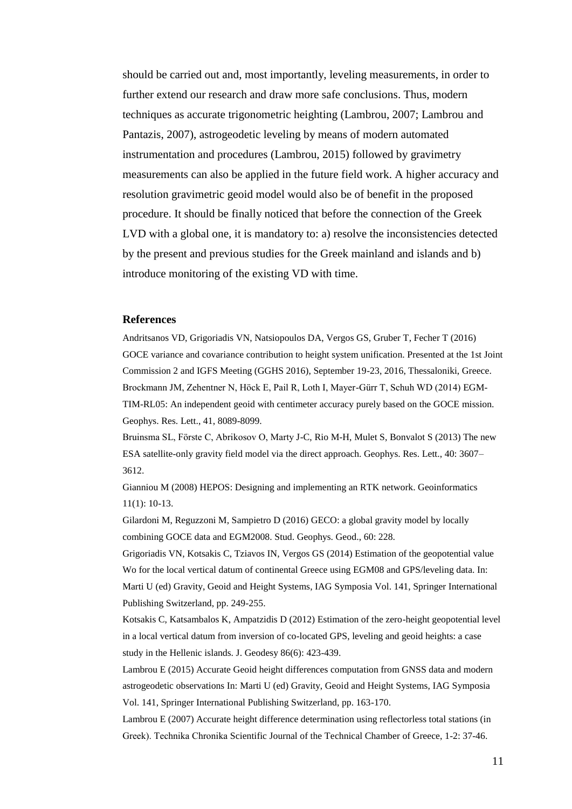should be carried out and, most importantly, leveling measurements, in order to further extend our research and draw more safe conclusions. Thus, modern techniques as accurate trigonometric heighting (Lambrou, 2007; Lambrou and Pantazis, 2007), astrogeodetic leveling by means of modern automated instrumentation and procedures (Lambrou, 2015) followed by gravimetry measurements can also be applied in the future field work. A higher accuracy and resolution gravimetric geoid model would also be of benefit in the proposed procedure. It should be finally noticed that before the connection of the Greek LVD with a global one, it is mandatory to: a) resolve the inconsistencies detected by the present and previous studies for the Greek mainland and islands and b) introduce monitoring of the existing VD with time.

#### **References**

Andritsanos VD, Grigoriadis VN, Natsiopoulos DA, Vergos GS, Gruber T, Fecher T (2016) GOCE variance and covariance contribution to height system unification. Presented at the 1st Joint Commission 2 and IGFS Meeting (GGHS 2016), September 19-23, 2016, Thessaloniki, Greece. Brockmann JM, Zehentner N, Höck E, Pail R, Loth I, Mayer-Gürr T, Schuh WD (2014) EGM-TIM-RL05: An independent geoid with centimeter accuracy purely based on the GOCE mission. Geophys. Res. Lett., 41, 8089-8099.

Bruinsma SL, Förste C, Abrikosov O, Marty J-C, Rio M-H, Mulet S, Bonvalot S (2013) The new ESA satellite-only gravity field model via the direct approach. Geophys. Res. Lett., 40: 3607– 3612.

Gianniou M (2008) HEPOS: Designing and implementing an RTK network. Geoinformatics 11(1): 10-13.

Gilardoni M, Reguzzoni M, Sampietro D (2016) GECO: a global gravity model by locally combining GOCE data and EGM2008. Stud. Geophys. Geod., 60: 228.

Grigoriadis VN, Kotsakis C, Tziavos IN, Vergos GS (2014) Estimation of the geopotential value Wo for the local vertical datum of continental Greece using EGM08 and GPS/leveling data. In: Marti U (ed) Gravity, Geoid and Height Systems, IAG Symposia Vol. 141, Springer International Publishing Switzerland, pp. 249-255.

Kotsakis C, Katsambalos K, Ampatzidis D (2012) Estimation of the zero-height geopotential level in a local vertical datum from inversion of co-located GPS, leveling and geoid heights: a case study in the Hellenic islands. J. Geodesy 86(6): 423-439.

Lambrou E (2015) Accurate Geoid height differences computation from GNSS data and modern astrogeodetic observations In: Marti U (ed) Gravity, Geoid and Height Systems, IAG Symposia Vol. 141, Springer International Publishing Switzerland, pp. 163-170.

Lambrou E (2007) Accurate height difference determination using reflectorless total stations (in Greek). Τechnika Chronika Scientific Journal of the Technical Chamber of Greece, 1-2: 37-46.